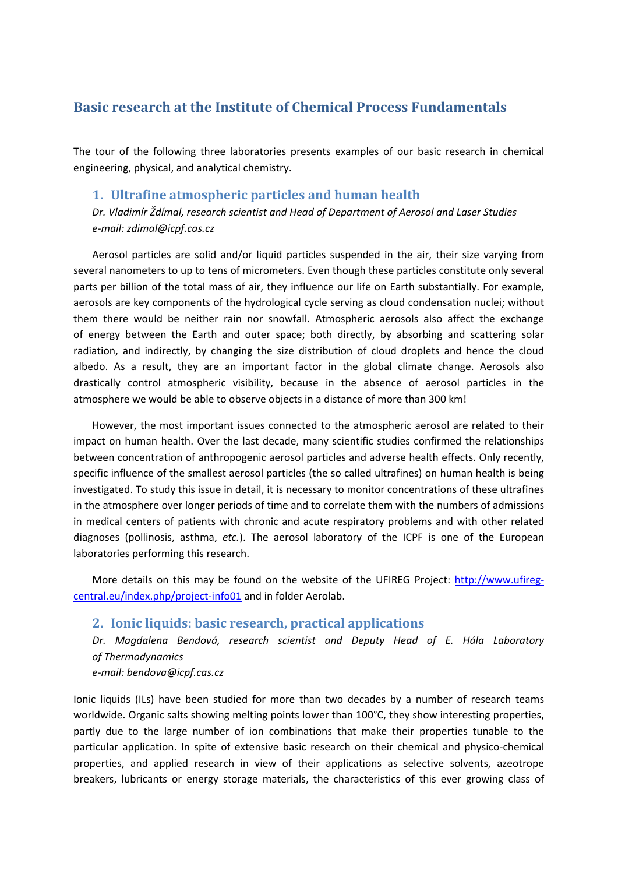# **Basic research at the Institute of Chemical Process Fundamentals**

The tour of the following three laboratories presents examples of our basic research in chemical engineering, physical, and analytical chemistry.

## **1. Ultrafine atmospheric particles and human health**

*Dr. Vladimír Ždímal, research scientist and Head of Department of Aerosol and Laser Studies e‐mail: zdimal@icpf.cas.cz*

Aerosol particles are solid and/or liquid particles suspended in the air, their size varying from several nanometers to up to tens of micrometers. Even though these particles constitute only several parts per billion of the total mass of air, they influence our life on Earth substantially. For example, aerosols are key components of the hydrological cycle serving as cloud condensation nuclei; without them there would be neither rain nor snowfall. Atmospheric aerosols also affect the exchange of energy between the Earth and outer space; both directly, by absorbing and scattering solar radiation, and indirectly, by changing the size distribution of cloud droplets and hence the cloud albedo. As a result, they are an important factor in the global climate change. Aerosols also drastically control atmospheric visibility, because in the absence of aerosol particles in the atmosphere we would be able to observe objects in a distance of more than 300 km!

However, the most important issues connected to the atmospheric aerosol are related to their impact on human health. Over the last decade, many scientific studies confirmed the relationships between concentration of anthropogenic aerosol particles and adverse health effects. Only recently, specific influence of the smallest aerosol particles (the so called ultrafines) on human health is being investigated. To study this issue in detail, it is necessary to monitor concentrations of these ultrafines in the atmosphere over longer periods of time and to correlate them with the numbers of admissions in medical centers of patients with chronic and acute respiratory problems and with other related diagnoses (pollinosis, asthma, *etc.*). The aerosol laboratory of the ICPF is one of the European laboratories performing this research.

More details on this may be found on the website of the UFIREG Project: http://www.ufiregcentral.eu/index.php/project‐info01 and in folder Aerolab.

## **2. Ionic liquids: basic research, practical applications**

*Dr. Magdalena Bendová, research scientist and Deputy Head of E. Hála Laboratory of Thermodynamics*

*e‐mail: bendova@icpf.cas.cz*

Ionic liquids (ILs) have been studied for more than two decades by a number of research teams worldwide. Organic salts showing melting points lower than 100°C, they show interesting properties, partly due to the large number of ion combinations that make their properties tunable to the particular application. In spite of extensive basic research on their chemical and physico‐chemical properties, and applied research in view of their applications as selective solvents, azeotrope breakers, lubricants or energy storage materials, the characteristics of this ever growing class of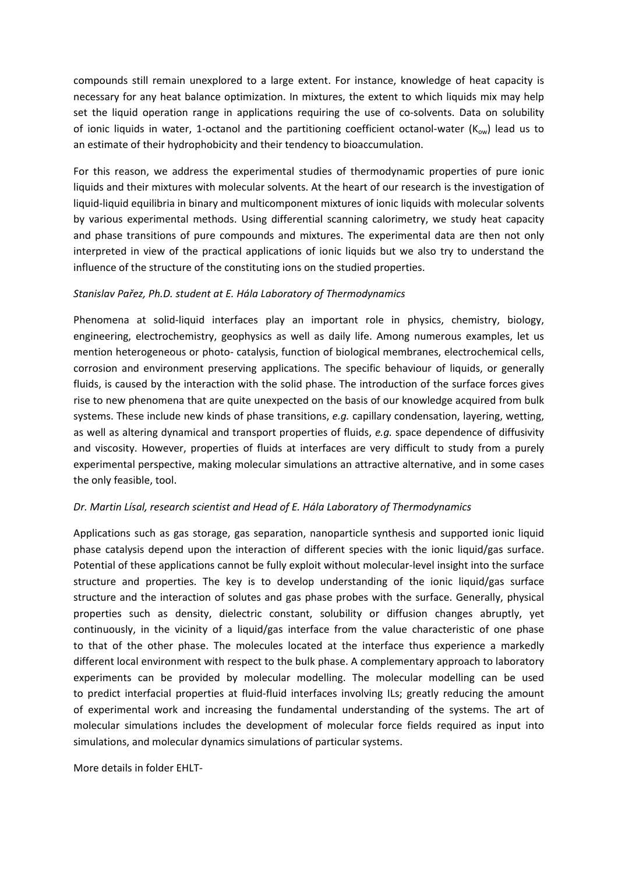compounds still remain unexplored to a large extent. For instance, knowledge of heat capacity is necessary for any heat balance optimization. In mixtures, the extent to which liquids mix may help set the liquid operation range in applications requiring the use of co-solvents. Data on solubility of ionic liquids in water, 1-octanol and the partitioning coefficient octanol-water  $(K_{ow})$  lead us to an estimate of their hydrophobicity and their tendency to bioaccumulation.

For this reason, we address the experimental studies of thermodynamic properties of pure ionic liquids and their mixtures with molecular solvents. At the heart of our research is the investigation of liquid‐liquid equilibria in binary and multicomponent mixtures of ionic liquids with molecular solvents by various experimental methods. Using differential scanning calorimetry, we study heat capacity and phase transitions of pure compounds and mixtures. The experimental data are then not only interpreted in view of the practical applications of ionic liquids but we also try to understand the influence of the structure of the constituting ions on the studied properties.

## *Stanislav Pařez, Ph.D. student at E. Hála Laboratory of Thermodynamics*

Phenomena at solid‐liquid interfaces play an important role in physics, chemistry, biology, engineering, electrochemistry, geophysics as well as daily life. Among numerous examples, let us mention heterogeneous or photo‐ catalysis, function of biological membranes, electrochemical cells, corrosion and environment preserving applications. The specific behaviour of liquids, or generally fluids, is caused by the interaction with the solid phase. The introduction of the surface forces gives rise to new phenomena that are quite unexpected on the basis of our knowledge acquired from bulk systems. These include new kinds of phase transitions, *e.g.* capillary condensation, layering, wetting, as well as altering dynamical and transport properties of fluids, *e.g.* space dependence of diffusivity and viscosity. However, properties of fluids at interfaces are very difficult to study from a purely experimental perspective, making molecular simulations an attractive alternative, and in some cases the only feasible, tool.

### *Dr. Martin Lísal, research scientist and Head of E. Hála Laboratory of Thermodynamics*

Applications such as gas storage, gas separation, nanoparticle synthesis and supported ionic liquid phase catalysis depend upon the interaction of different species with the ionic liquid/gas surface. Potential of these applications cannot be fully exploit without molecular‐level insight into the surface structure and properties. The key is to develop understanding of the ionic liquid/gas surface structure and the interaction of solutes and gas phase probes with the surface. Generally, physical properties such as density, dielectric constant, solubility or diffusion changes abruptly, yet continuously, in the vicinity of a liquid/gas interface from the value characteristic of one phase to that of the other phase. The molecules located at the interface thus experience a markedly different local environment with respect to the bulk phase. A complementary approach to laboratory experiments can be provided by molecular modelling. The molecular modelling can be used to predict interfacial properties at fluid‐fluid interfaces involving ILs; greatly reducing the amount of experimental work and increasing the fundamental understanding of the systems. The art of molecular simulations includes the development of molecular force fields required as input into simulations, and molecular dynamics simulations of particular systems.

More details in folder EHLT‐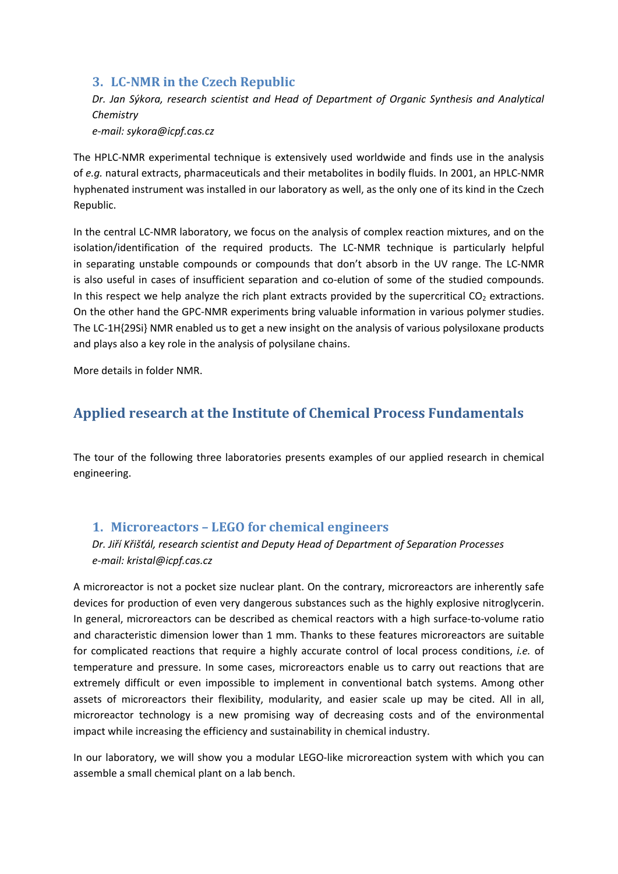# **3. LC‐NMR in the Czech Republic**

*Dr. Jan Sýkora, research scientist and Head of Department of Organic Synthesis and Analytical Chemistry*

*e‐mail: sykora@icpf.cas.cz*

The HPLC‐NMR experimental technique is extensively used worldwide and finds use in the analysis of *e.g.* natural extracts, pharmaceuticals and their metabolites in bodily fluids. In 2001, an HPLC‐NMR hyphenated instrument was installed in our laboratory as well, as the only one of its kind in the Czech Republic.

In the central LC-NMR laboratory, we focus on the analysis of complex reaction mixtures, and on the isolation/identification of the required products. The LC‐NMR technique is particularly helpful in separating unstable compounds or compounds that don't absorb in the UV range. The LC‐NMR is also useful in cases of insufficient separation and co-elution of some of the studied compounds. In this respect we help analyze the rich plant extracts provided by the supercritical  $CO<sub>2</sub>$  extractions. On the other hand the GPC‐NMR experiments bring valuable information in various polymer studies. The LC-1H{29Si} NMR enabled us to get a new insight on the analysis of various polysiloxane products and plays also a key role in the analysis of polysilane chains.

More details in folder NMR.

# **Applied research at the Institute of Chemical Process Fundamentals**

The tour of the following three laboratories presents examples of our applied research in chemical engineering.

## **1. Microreactors – LEGO for chemical engineers**

*Dr. Jiří Křišťál, research scientist and Deputy Head of Department of Separation Processes e‐mail: kristal@icpf.cas.cz*

A microreactor is not a pocket size nuclear plant. On the contrary, microreactors are inherently safe devices for production of even very dangerous substances such as the highly explosive nitroglycerin. In general, microreactors can be described as chemical reactors with a high surface-to-volume ratio and characteristic dimension lower than 1 mm. Thanks to these features microreactors are suitable for complicated reactions that require a highly accurate control of local process conditions, *i.e.* of temperature and pressure. In some cases, microreactors enable us to carry out reactions that are extremely difficult or even impossible to implement in conventional batch systems. Among other assets of microreactors their flexibility, modularity, and easier scale up may be cited. All in all, microreactor technology is a new promising way of decreasing costs and of the environmental impact while increasing the efficiency and sustainability in chemical industry.

In our laboratory, we will show you a modular LEGO‐like microreaction system with which you can assemble a small chemical plant on a lab bench.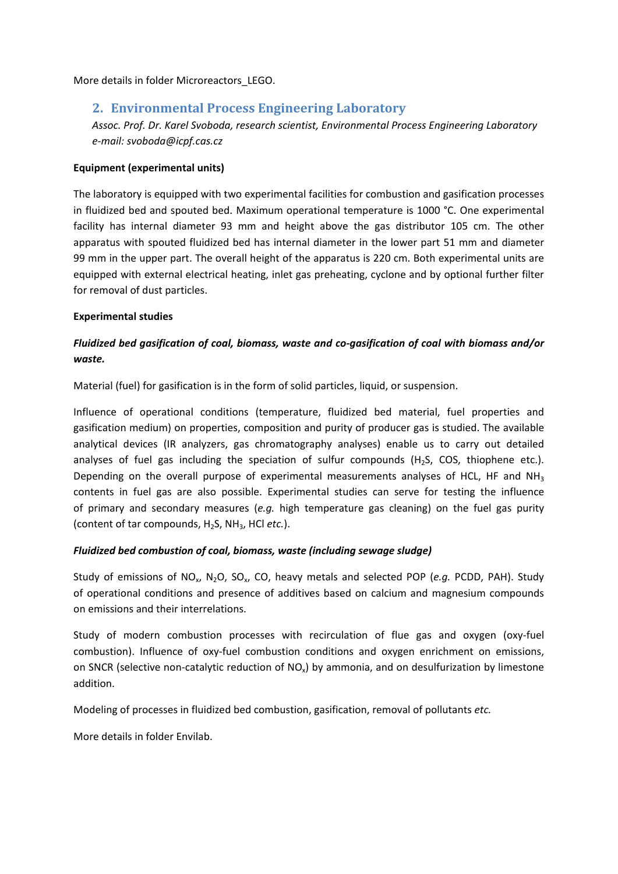More details in folder Microreactors\_LEGO.

## **2. Environmental Process Engineering Laboratory**

*Assoc. Prof. Dr. Karel Svoboda, research scientist, Environmental Process Engineering Laboratory e‐mail: svoboda@icpf.cas.cz*

### **Equipment (experimental units)**

The laboratory is equipped with two experimental facilities for combustion and gasification processes in fluidized bed and spouted bed. Maximum operational temperature is 1000 °C. One experimental facility has internal diameter 93 mm and height above the gas distributor 105 cm. The other apparatus with spouted fluidized bed has internal diameter in the lower part 51 mm and diameter 99 mm in the upper part. The overall height of the apparatus is 220 cm. Both experimental units are equipped with external electrical heating, inlet gas preheating, cyclone and by optional further filter for removal of dust particles.

### **Experimental studies**

## *Fluidized bed gasification of coal, biomass, waste and co‐gasification of coal with biomass and/or waste.*

Material (fuel) for gasification is in the form of solid particles, liquid, or suspension.

Influence of operational conditions (temperature, fluidized bed material, fuel properties and gasification medium) on properties, composition and purity of producer gas is studied. The available analytical devices (IR analyzers, gas chromatography analyses) enable us to carry out detailed analyses of fuel gas including the speciation of sulfur compounds (H<sub>2</sub>S, COS, thiophene etc.). Depending on the overall purpose of experimental measurements analyses of HCL, HF and  $NH<sub>3</sub>$ contents in fuel gas are also possible. Experimental studies can serve for testing the influence of primary and secondary measures (*e.g.* high temperature gas cleaning) on the fuel gas purity (content of tar compounds, H2S, NH3, HCl *etc.*).

### *Fluidized bed combustion of coal, biomass, waste (including sewage sludge)*

Study of emissions of NOx, N2O, SOx, CO, heavy metals and selected POP (*e.g.* PCDD, PAH). Study of operational conditions and presence of additives based on calcium and magnesium compounds on emissions and their interrelations.

Study of modern combustion processes with recirculation of flue gas and oxygen (oxy-fuel combustion). Influence of oxy-fuel combustion conditions and oxygen enrichment on emissions, on SNCR (selective non-catalytic reduction of  $NO<sub>x</sub>$ ) by ammonia, and on desulfurization by limestone addition.

Modeling of processes in fluidized bed combustion, gasification, removal of pollutants *etc.*

More details in folder Envilab.